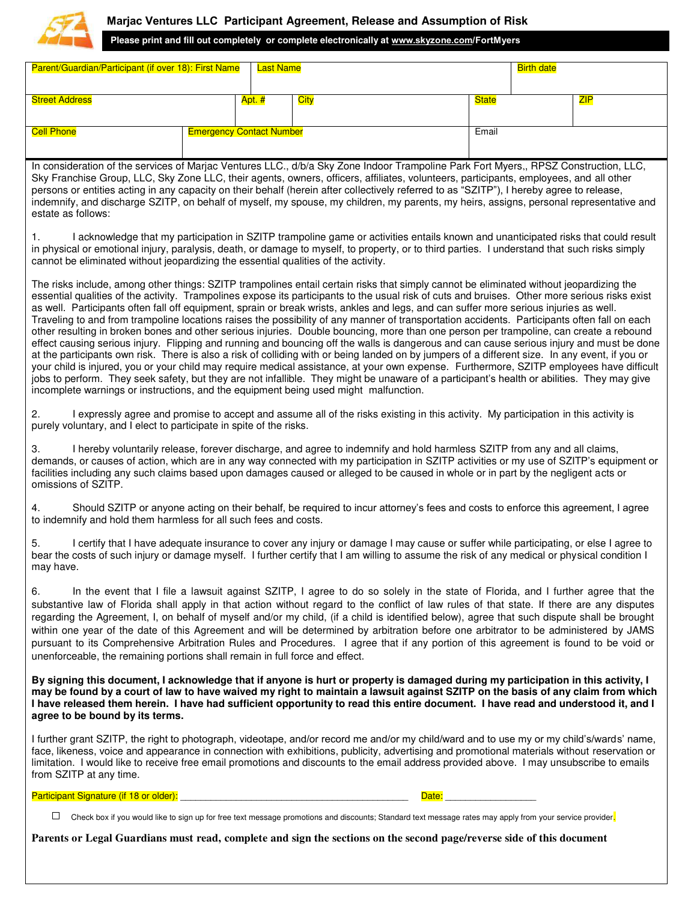

## **Marjac Ventures LLC Participant Agreement, Release and Assumption of Risk**

**Please print and fill out completely or complete electronically at [www.skyzone.com/](http://www.skyzone.com/)FortMyers**

| Parent/Guardian/Participant (if over 18): First Name |  |                                 | Last Name   |              |  | <b>Birth date</b> |  |  |
|------------------------------------------------------|--|---------------------------------|-------------|--------------|--|-------------------|--|--|
| <b>Street Address</b>                                |  | Apt. #                          | <b>City</b> | <b>State</b> |  | ZIP               |  |  |
|                                                      |  |                                 |             |              |  |                   |  |  |
| <b>Cell Phone</b>                                    |  | <b>Emergency Contact Number</b> |             | Email        |  |                   |  |  |

In consideration of the services of Marjac Ventures LLC., d/b/a Sky Zone Indoor Trampoline Park Fort Myers,, RPSZ Construction, LLC, Sky Franchise Group, LLC, Sky Zone LLC, their agents, owners, officers, affiliates, volunteers, participants, employees, and all other persons or entities acting in any capacity on their behalf (herein after collectively referred to as "SZITP"), I hereby agree to release, indemnify, and discharge SZITP, on behalf of myself, my spouse, my children, my parents, my heirs, assigns, personal representative and estate as follows:

1. I acknowledge that my participation in SZITP trampoline game or activities entails known and unanticipated risks that could result in physical or emotional injury, paralysis, death, or damage to myself, to property, or to third parties. I understand that such risks simply cannot be eliminated without jeopardizing the essential qualities of the activity.

The risks include, among other things: SZITP trampolines entail certain risks that simply cannot be eliminated without jeopardizing the essential qualities of the activity. Trampolines expose its participants to the usual risk of cuts and bruises. Other more serious risks exist as well. Participants often fall off equipment, sprain or break wrists, ankles and legs, and can suffer more serious injuries as well. Traveling to and from trampoline locations raises the possibility of any manner of transportation accidents. Participants often fall on each other resulting in broken bones and other serious injuries. Double bouncing, more than one person per trampoline, can create a rebound effect causing serious injury. Flipping and running and bouncing off the walls is dangerous and can cause serious injury and must be done at the participants own risk. There is also a risk of colliding with or being landed on by jumpers of a different size. In any event, if you or your child is injured, you or your child may require medical assistance, at your own expense. Furthermore, SZITP employees have difficult jobs to perform. They seek safety, but they are not infallible. They might be unaware of a participant's health or abilities. They may give incomplete warnings or instructions, and the equipment being used might malfunction.

2. I expressly agree and promise to accept and assume all of the risks existing in this activity. My participation in this activity is purely voluntary, and I elect to participate in spite of the risks.

3. I hereby voluntarily release, forever discharge, and agree to indemnify and hold harmless SZITP from any and all claims, demands, or causes of action, which are in any way connected with my participation in SZITP activities or my use of SZITP's equipment or facilities including any such claims based upon damages caused or alleged to be caused in whole or in part by the negligent acts or omissions of SZITP.

4. Should SZITP or anyone acting on their behalf, be required to incur attorney's fees and costs to enforce this agreement, I agree to indemnify and hold them harmless for all such fees and costs.

I certify that I have adequate insurance to cover any injury or damage I may cause or suffer while participating, or else I agree to bear the costs of such injury or damage myself. I further certify that I am willing to assume the risk of any medical or physical condition I may have.

6. In the event that I file a lawsuit against SZITP, I agree to do so solely in the state of Florida, and I further agree that the substantive law of Florida shall apply in that action without regard to the conflict of law rules of that state. If there are any disputes regarding the Agreement, I, on behalf of myself and/or my child, (if a child is identified below), agree that such dispute shall be brought within one year of the date of this Agreement and will be determined by arbitration before one arbitrator to be administered by JAMS pursuant to its Comprehensive Arbitration Rules and Procedures. I agree that if any portion of this agreement is found to be void or unenforceable, the remaining portions shall remain in full force and effect.

**By signing this document, I acknowledge that if anyone is hurt or property is damaged during my participation in this activity, I may be found by a court of law to have waived my right to maintain a lawsuit against SZITP on the basis of any claim from which I have released them herein. I have had sufficient opportunity to read this entire document. I have read and understood it, and I agree to be bound by its terms.** 

I further grant SZITP, the right to photograph, videotape, and/or record me and/or my child/ward and to use my or my child's/wards' name, face, likeness, voice and appearance in connection with exhibitions, publicity, advertising and promotional materials without reservation or limitation. I would like to receive free email promotions and discounts to the email address provided above. I may unsubscribe to emails from SZITP at any time.

Participant Signature (if 18 or older): \_\_\_\_\_\_\_\_\_\_\_\_\_\_\_\_\_\_\_\_\_\_\_\_\_\_\_\_\_\_\_\_\_\_\_\_\_\_\_\_\_\_\_\_\_ Date: \_\_\_\_\_\_\_\_\_\_\_\_\_\_\_\_\_\_

 $\Box$  Check box if you would like to sign up for free text message promotions and discounts; Standard text message rates may apply from your service provider.

**Parents or Legal Guardians must read, complete and sign the sections on the second page/reverse side of this document**